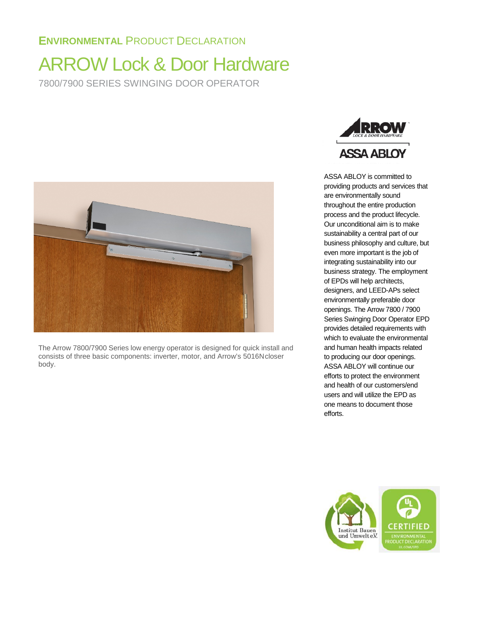# **ENVIRONMENTAL** PRODUCT DECLARATION

# ARROW Lock & Door Hardware 7800/7900 SERIES SWINGING DOOR OPERATOR



The Arrow 7800/7900 Series low energy operator is designed for quick install and consists of three basic components: inverter, motor, and Arrow's 5016Ncloser body.



ASSA ABLOY is committed to providing products and services that are environmentally sound throughout the entire production process and the product lifecycle. Our unconditional aim is to make sustainability a central part of our business philosophy and culture, but even more important is the job of integrating sustainability into our business strategy. The employment of EPDs will help architects, designers, and LEED-APs select environmentally preferable door openings. The Arrow 7800 / 7900 Series Swinging Door Operator EPD provides detailed requirements with which to evaluate the environmental and human health impacts related to producing our door openings. ASSA ABLOY will continue our efforts to protect the environment and health of our customers/end users and will utilize the EPD as one means to document those efforts.

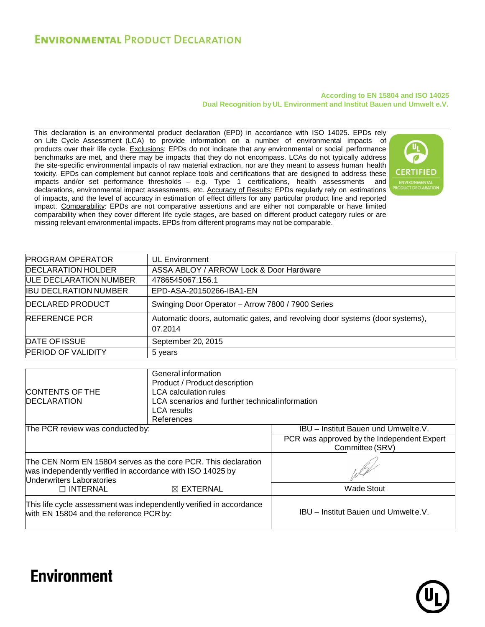# **ENVIRONMENTAL PRODUCT DECLARATION**

#### **According to EN 15804 and ISO 14025 Dual Recognition by UL Environment and Institut Bauen und Umwelt e.V.**

This declaration is an environmental product declaration (EPD) in accordance with ISO 14025. EPDs rely on Life Cycle Assessment (LCA) to provide information on a number of environmental impacts of products over their life cycle. Exclusions: EPDs do not indicate that any environmental or social performance benchmarks are met, and there may be impacts that they do not encompass. LCAs do not typically address the site-specific environmental impacts of raw material extraction, nor are they meant to assess human health toxicity. EPDs can complement but cannot replace tools and certifications that are designed to address these impacts and/or set performance thresholds – e.g. Type 1 certifications, health assessments and declarations, environmental impact assessments, etc. Accuracy of Results: EPDs regularly rely on estimations of impacts, and the level of accuracy in estimation of effect differs for any particular product line and reported impact. Comparability: EPDs are not comparative assertions and are either not comparable or have limited comparability when they cover different life cycle stages, are based on different product category rules or are missing relevant environmental impacts. EPDs from different programs may not be comparable.



| <b>PROGRAM OPERATOR</b>       | <b>UL Environment</b>                                                                   |
|-------------------------------|-----------------------------------------------------------------------------------------|
| <b>DECLARATION HOLDER</b>     | ASSA ABLOY / ARROW Lock & Door Hardware                                                 |
| <b>ULE DECLARATION NUMBER</b> | 4786545067.156.1                                                                        |
| <b>IBU DECLRATION NUMBER</b>  | EPD-ASA-20150266-IBA1-EN                                                                |
| <b>DECLARED PRODUCT</b>       | Swinging Door Operator - Arrow 7800 / 7900 Series                                       |
| <b>REFERENCE PCR</b>          | Automatic doors, automatic gates, and revolving door systems (door systems),<br>07.2014 |
| DATE OF ISSUE                 | September 20, 2015                                                                      |
| <b>PERIOD OF VALIDITY</b>     | 5 years                                                                                 |
|                               |                                                                                         |
|                               | Conoral information                                                                     |

| <b>CONTENTS OF THE</b><br><b>IDECLARATION</b>                                                                                                             | General information<br>Product / Product description<br><b>LCA</b> calculation rules<br>LCA scenarios and further technical information<br><b>LCA</b> results<br>References |                                                               |  |
|-----------------------------------------------------------------------------------------------------------------------------------------------------------|-----------------------------------------------------------------------------------------------------------------------------------------------------------------------------|---------------------------------------------------------------|--|
| The PCR review was conducted by:                                                                                                                          |                                                                                                                                                                             | IBU - Institut Bauen und Umwelt e.V.                          |  |
|                                                                                                                                                           |                                                                                                                                                                             | PCR was approved by the Independent Expert<br>Committee (SRV) |  |
| The CEN Norm EN 15804 serves as the core PCR. This declaration<br>was independently verified in accordance with ISO 14025 by<br>Underwriters Laboratories |                                                                                                                                                                             |                                                               |  |
| $\Box$ INTERNAL                                                                                                                                           | $\boxtimes$ EXTERNAL                                                                                                                                                        | <b>Wade Stout</b>                                             |  |
| This life cycle assessment was independently verified in accordance<br>with EN 15804 and the reference PCR by:                                            |                                                                                                                                                                             | IBU - Institut Bauen und Umwelte.V.                           |  |



# **Environment**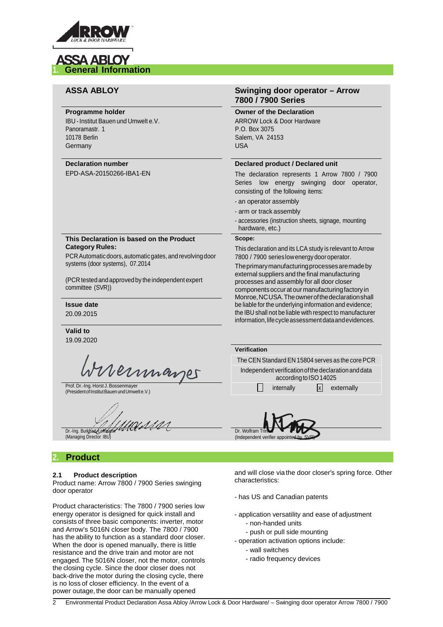

# **ASSA ABLOY 1. General Information**

#### **Programme holder**

IBU -Institut Bauen und Umwelt e.V. Panoramastr. 1 10178 Berlin **Germany** 

#### **Declaration number**

EPD-ASA-20150266-IBA1-EN

#### **This Declaration is based on the Product Category Rules:**

PCR Automatic doors, automatic gates, and revolving door systems (door systems), 07.2014

(PCR tested and approved by the independent expert committee (SVR))

**Issue date** 20.09.2015

**Valid to** 19.09.2020

Wernmanger

Prof. Dr.-Ing. Horst J. Bossenmayer (PresidentofInstitutBauenundUmwelte.V.)

Dr.-Ing. Burkhart Lehman (Managing Director IBU)

## **2. Product**

#### **2.1 Product description**

Product name: Arrow 7800 / 7900 Series swinging door operator

Product characteristics: The 7800 / 7900 series low energy operator is designed for quick install and consists of three basic components: inverter, motor and Arrow's 5016N closer body. The 7800 / 7900 has the ability to function as a standard door closer. When the door is opened manually, there is little resistance and the drive train and motor are not engaged. The 5016N closer, not the motor, controls the closing cycle. Since the door closer does not back-drive the motor during the closing cycle, there is no loss of closer efficiency. In the event of a power outage, the door can be manually opened

#### **ASSA ABLOY Swinging door operator – Arrow 7800 / 7900 Series**

**Owner of the Declaration**

ARROW Lock & Door Hardware P.O. Box 3075 Salem, VA 24153 USA

#### **Declared product / Declared unit**

The declaration represents 1 Arrow 7800 / 7900 Series low energy swinging door operator, consisting of the following items:

- an operator assembly
- arm or track assembly
- accessories (instruction sheets, signage, mounting hardware, etc.)

#### **Scope:**

This declaration and its LCA study is relevant to Arrow 7800 / 7900 serieslowenergy dooroperator.

Theprimarymanufacturingprocessesaremadeby external suppliers and the final manufacturing processes and assembly for all door closer components occur at our manufacturing factory in Monroe,NCUSA.Theownerofthedeclarationshall be liable for the underlying information and evidence; the IBU shall not be liable with respect to manufacturer information, life cycle assessment data and evidences.

| The CEN Standard EN 15804 serves as the core PCR     |
|------------------------------------------------------|
| Independent verification of the declaration and data |
|                                                      |
|                                                      |
|                                                      |



and will close via the door closer's spring force. Other characteristics:

- has US and Canadian patents
- application versatility and ease of adjustment
	- non-handed units
	- push or pull side mounting
- operation activation options include:
	- wall switches
	- radio frequency devices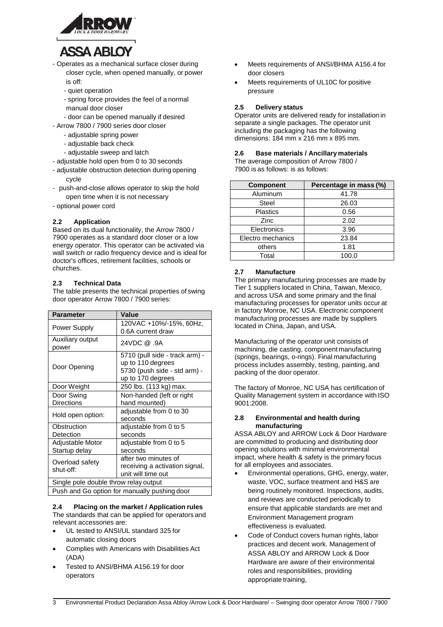

# **ASSA ABLOY**

- Operates as a mechanical surface closer during closer cycle, when opened manually, or power is off:
	- quiet operation
	- spring force provides the feel of a normal manual door closer
	- door can be opened manually if desired
- Arrow 7800 / 7900 series door closer
	- adjustable spring power
	- adjustable back check
	- adjustable sweep and latch
- adjustable hold open from 0 to 30 seconds
- adjustable obstruction detection during opening cycle
- push-and-close allows operator to skip the hold open time when it is not necessary
- optional power cord

#### **2.2 Application**

Based on its dual functionality, the Arrow 7800 / 7900 operates as a standard door closer or a low energy operator. This operator can be activated via wall switch or radio frequency device and is ideal for doctor's offices, retirement facilities, schools or churches.

#### **2.3 Technical Data**

The table presents the technical properties of swing door operator Arrow 7800 / 7900 series:

| <b>Parameter</b>                                    | Value                          |  |
|-----------------------------------------------------|--------------------------------|--|
| Power Supply                                        | 120VAC +10%/-15%, 60Hz,        |  |
|                                                     | 0.6A current draw              |  |
| Auxiliary output<br>power                           | 24VDC @ .9A                    |  |
|                                                     | 5710 (pull side - track arm) - |  |
| Door Opening                                        | up to 110 degrees              |  |
|                                                     | 5730 (push side - std arm) -   |  |
|                                                     | up to 170 degrees              |  |
| Door Weight                                         | 250 lbs. (113 kg) max.         |  |
| Door Swing                                          | Non-handed (left or right      |  |
| <b>Directions</b>                                   | hand mounted)                  |  |
|                                                     | adjustable from 0 to 30        |  |
| Hold open option:                                   | seconds                        |  |
| Obstruction                                         | adjustable from 0 to 5         |  |
| Detection                                           | seconds                        |  |
| <b>Adjustable Motor</b>                             | adjustable from 0 to 5         |  |
| Startup delay                                       | seconds                        |  |
| Overload safety                                     | after two minutes of           |  |
| shut-off:                                           | receiving a activation signal, |  |
|                                                     | unit will time out             |  |
| Single pole double throw relay output               |                                |  |
| <b>Puch and Co option for manually puching door</b> |                                |  |

Push and Go option for manually pushing door

#### **2.4 Placing on the market / Application rules**  The standards that can be applied for operators and relevant accessories are:

- UL tested to ANSI/UL standard 325 for automatic closing doors
- Complies with Americans with Disabilities Act (ADA)
- Tested to ANSI/BHMA A156.19 for door operators
- Meets requirements of ANSI/BHMA A156.4 for door closers
- Meets requirements of UL10C for positive pressure

#### **2.5 Delivery status**

Operator units are delivered ready for installation in separate a single packages. The operator unit including the packaging has the following dimensions: 184 mm x 216 mm x 895 mm.

#### **2.6 Base materials / Ancillary materials**

The average composition of Arrow 7800 / 7900 is as follows: is as follows:

| <b>Component</b>  | Percentage in mass (%) |
|-------------------|------------------------|
| Aluminum          | 41.78                  |
| <b>Steel</b>      | 26.03                  |
| <b>Plastics</b>   | 0.56                   |
| <b>Zinc</b>       | 2.02                   |
| Electronics       | 3.96                   |
| Electro mechanics | 23.84                  |
| others            | 1.81                   |
| Total             | 100.0                  |

#### **2.7 Manufacture**

The primary manufacturing processes are made by Tier 1 suppliers located in China, Taiwan, Mexico, and across USA and some primary and the final manufacturing processes for operator units occur at in factory Monroe, NC USA. Electronic component manufacturing processes are made by suppliers located in China, Japan, and USA.

Manufacturing of the operator unit consists of machining, die casting, component manufacturing (springs, bearings, o-rings). Final manufacturing process includes assembly, testing, painting, and packing of the door operator.

The factory of Monroe, NC USA has certification of Quality Management system in accordance with ISO 9001:2008.

#### **2.8 Environmental and health during manufacturing**

ASSA ABLOY and ARROW Lock & Door Hardware are committed to producing and distributing door opening solutions with minimal environmental impact, where health & safety is the primary focus for all employees and associates.

- Environmental operations, GHG, energy, water, waste, VOC, surface treatment and H&S are being routinely monitored. Inspections, audits, and reviews are conducted periodically to ensure that applicable standards are met and Environment Management program effectiveness is evaluated.
- Code of Conduct covers human rights, labor practices and decent work. Management of ASSA ABLOY and ARROW Lock & Door Hardware are aware of their environmental roles and responsibilities, providing appropriate training,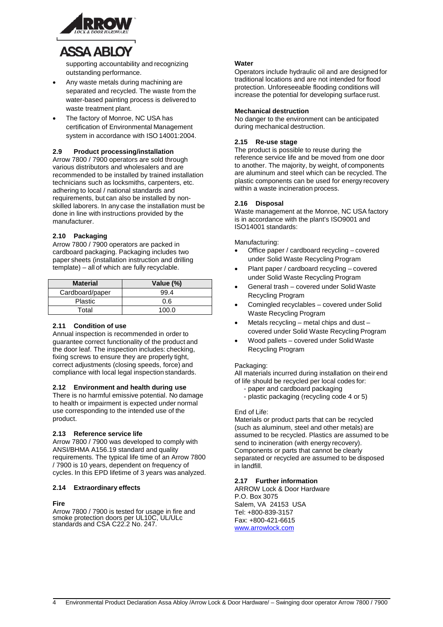

# **ASSA ABLOY**

supporting accountability and recognizing outstanding performance.

- Any waste metals during machining are separated and recycled. The waste from the water-based painting process is delivered to waste treatment plant.
- The factory of Monroe, NC USA has certification of Environmental Management system in accordance with ISO 14001:2004.

#### **2.9 Product processing/installation**

Arrow 7800 / 7900 operators are sold through various distributors and wholesalers and are recommended to be installed by trained installation technicians such as locksmiths, carpenters, etc. adhering to local / national standards and requirements, but can also be installed by nonskilled laborers. In any case the installation must be done in line with instructions provided by the manufacturer.

#### **2.10 Packaging**

Arrow 7800 / 7900 operators are packed in cardboard packaging. Packaging includes two paper sheets (installation instruction and drilling template) – all of which are fully recyclable.

| <b>Material</b> | Value (%) |
|-----------------|-----------|
| Cardboard/paper | 99.4      |
| <b>Plastic</b>  | 0.6       |
| Total           | 100 O     |

#### **2.11 Condition of use**

Annual inspection is recommended in order to guarantee correct functionality of the product and the door leaf. The inspection includes: checking, fixing screws to ensure they are properly tight, correct adjustments (closing speeds, force) and compliance with local legal inspection standards.

#### **2.12 Environment and health during use**

There is no harmful emissive potential. No damage to health or impairment is expected under normal use corresponding to the intended use of the product.

#### **2.13 Reference service life**

Arrow 7800 / 7900 was developed to comply with ANSI/BHMA A156.19 standard and quality requirements. The typical life time of an Arrow 7800 / 7900 is 10 years, dependent on frequency of cycles. In this EPD lifetime of 3 years was analyzed.

#### **2.14 Extraordinary effects**

#### **Fire**

Arrow 7800 / 7900 is tested for usage in fire and smoke protection doors per UL10C, UL/ULc standards and CSA C22.2 No. 247.

#### **Water**

Operators include hydraulic oil and are designed for traditional locations and are not intended for flood protection. Unforeseeable flooding conditions will increase the potential for developing surface rust.

#### **Mechanical destruction**

No danger to the environment can be anticipated during mechanical destruction.

#### **2.15 Re-use stage**

The product is possible to reuse during the reference service life and be moved from one door to another. The majority, by weight, of components are aluminum and steel which can be recycled. The plastic components can be used for energy recovery within a waste incineration process.

#### **2.16 Disposal**

Waste management at the Monroe, NC USA factory is in accordance with the plant's ISO9001 and ISO14001 standards:

Manufacturing:

- Office paper / cardboard recycling covered under Solid Waste Recycling Program
- Plant paper / cardboard recycling covered under Solid Waste Recycling Program
- General trash covered under SolidWaste Recycling Program
- Comingled recyclables covered under Solid Waste Recycling Program
- Metals recycling metal chips and dust covered under Solid Waste Recycling Program
- Wood pallets covered under SolidWaste Recycling Program

#### Packaging:

All materials incurred during installation on their end of life should be recycled per local codes for:

- paper and cardboard packaging
	- plastic packaging (recycling code 4 or 5)

#### End of Life:

Materials or product parts that can be recycled (such as aluminum, steel and other metals) are assumed to be recycled. Plastics are assumed to be send to incineration (with energy recovery). Components or parts that cannot be clearly separated or recycled are assumed to be disposed in landfill.

#### **2.17 Further information**

ARROW Lock & Door Hardware P.O. Box 3075 Salem, VA 24153 USA Tel: +800-839-3157 Fax: +800-421-6615 [www.arrowlock.com](http://www.arrowlock.com/)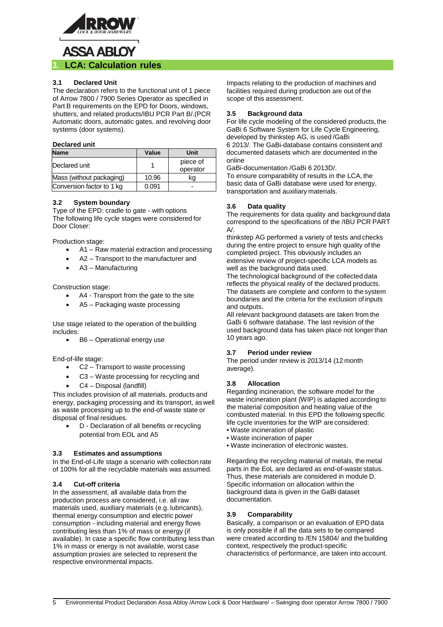

#### **3.1 Declared Unit**

The declaration refers to the functional unit of 1 piece of Arrow 7800 / 7900 Series Operator as specified in Part B requirements on the EPD for Doors, windows, shutters, and related products/IBU PCR Part B/.(PCR Automatic doors, automatic gates, and revolving door systems (door systems).

#### **Declared unit**

| <b>Name</b>               | Value | Unit     |
|---------------------------|-------|----------|
| Declared unit             |       | piece of |
|                           |       | operator |
| Mass (without packaging)  | 10.96 | κa       |
| Conversion factor to 1 kg | 0.091 |          |

#### **3.2 System boundary**

Type of the EPD: cradle to gate - with options The following life cycle stages were considered for Door Closer:

Production stage:

- A1 Raw material extraction and processing
- A2 Transport to the manufacturer and
- A3 Manufacturing

Construction stage:

- A4 Transport from the gate to the site
- A5 Packaging waste processing

Use stage related to the operation of the building includes:

• B6 – Operational energy use

End-of-life stage:

- C2 Transport to waste processing
- C3 Waste processing for recycling and
- C4 Disposal (landfill)

This includes provision of all materials, products and energy, packaging processing and its transport, aswell as waste processing up to the end-of waste state or disposal of final residues.

• D - Declaration of all benefits or recycling potential from EOL and A5

#### **3.3 Estimates and assumptions**

In the End-of-Life stage a scenario with collection rate of 100% for all the recyclable materials was assumed.

#### **3.4 Cut-off criteria**

In the assessment, all available data from the production process are considered, i.e. all raw materials used, auxiliary materials (e.g. lubricants), thermal energy consumption and electric power consumption - including material and energy flows contributing less than 1% of mass or energy (if available). In case a specific flow contributing less than 1% in mass or energy is not available, worst case assumption proxies are selected to represent the respective environmental impacts.

Impacts relating to the production of machines and facilities required during production are out of the scope of this assessment.

#### **3.5 Background data**

For life cycle modeling of the considered products, the GaBi 6 Software System for Life Cycle Engineering, developed by thinkstep AG, is used /GaBi 6 2013/. The GaBi-database contains consistent and documented datasets which are documented in the online

GaBi-documentation /GaBi 6 2013D/.

To ensure comparability of results in the LCA, the basic data of GaBi database were used for energy, transportation and auxiliary materials.

#### **3.6 Data quality**

The requirements for data quality and background data correspond to the specifications of the /IBU PCR PART  $A/$ 

thinkstep AG performed a variety of tests and checks during the entire project to ensure high quality of the completed project. This obviously includes an extensive review of project-specific LCA models as well as the background data used.

The technological background of the collected data reflects the physical reality of the declared products. The datasets are complete and conform to the system boundaries and the criteria for the exclusion of inputs and outputs.

All relevant background datasets are taken from the GaBi 6 software database. The last revision of the used background data has taken place not longer than 10 years ago.

#### **3.7 Period under review**

The period under review is 2013/14 (12 month average).

#### **3.8 Allocation**

Regarding incineration, the software model for the waste incineration plant (WIP) is adapted according to the material composition and heating value of the combusted material. In this EPD the following specific life cycle inventories for the WIP are considered:

- Waste incineration of plastic
- Waste incineration of paper
- Waste incineration of electronic wastes.

Regarding the recycling material of metals, the metal parts in the EoL are declared as end-of-waste status. Thus, these materials are considered in module D. Specific information on allocation within the background data is given in the GaBi dataset documentation.

#### **3.9 Comparability**

Basically, a comparison or an evaluation of EPD data is only possible if all the data sets to be compared were created according to /EN 15804/ and the building context, respectively the product-specific characteristics of performance, are taken into account.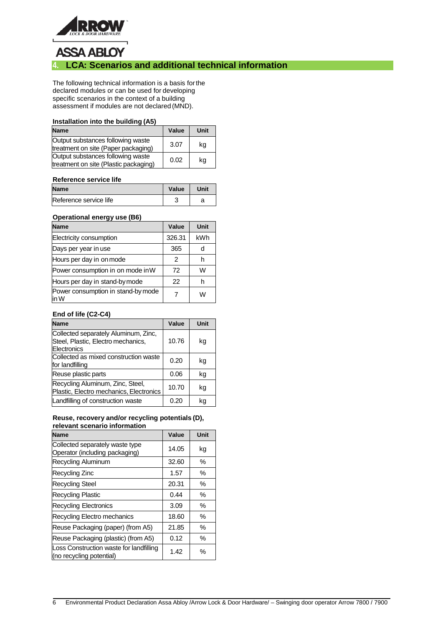

# **ASSA ABLOY**

## **4. LCA: Scenarios and additional technical information**

The following technical information is a basis forthe declared modules or can be used for developing specific scenarios in the context of a building assessment if modules are not declared (MND).

#### **Installation into the building (A5)**

| <b>Name</b>                                                                | Value | Unit |
|----------------------------------------------------------------------------|-------|------|
| Output substances following waste<br>treatment on site (Paper packaging)   | 3.07  | kg   |
| Output substances following waste<br>treatment on site (Plastic packaging) | 0.02  | kg   |

#### **Reference service life**

| <b>Name</b>            | Value | Unit |
|------------------------|-------|------|
| Reference service life |       |      |

#### **Operational energy use (B6)**

| <b>Name</b>                                | Value  | Unit |
|--------------------------------------------|--------|------|
| Electricity consumption                    | 326.31 | kWh  |
| Days per year in use                       | 365    |      |
| Hours per day in on mode                   | 2      |      |
| Power consumption in on mode in W          | 72     | w    |
| Hours per day in stand-by mode             | 22     |      |
| Power consumption in stand-by mode<br>in W |        | w    |

#### **End of life (C2-C4)**

| <b>Name</b>                                                                               | Value | Unit |
|-------------------------------------------------------------------------------------------|-------|------|
| Collected separately Aluminum, Zinc,<br>Steel, Plastic, Electro mechanics,<br>Electronics | 10.76 | kg   |
| Collected as mixed construction waste<br>for landfilling                                  | 0.20  | kg   |
| Reuse plastic parts                                                                       | 0.06  | kg   |
| Recycling Aluminum, Zinc, Steel,<br>Plastic, Electro mechanics, Electronics               | 10.70 | kg   |
| Landfilling of construction waste                                                         | 0.20  | ka   |

#### **Reuse, recovery and/or recycling potentials (D), relevant scenario information**

| <b>Name</b>                                                         | Value | Unit |
|---------------------------------------------------------------------|-------|------|
| Collected separately waste type<br>Operator (including packaging)   | 14.05 | kg   |
| Recycling Aluminum                                                  | 32.60 | ℅    |
| Recycling Zinc                                                      | 1.57  | ℅    |
| <b>Recycling Steel</b>                                              | 20.31 | ℅    |
| <b>Recycling Plastic</b>                                            | 0.44  | ℅    |
| <b>Recycling Electronics</b>                                        | 3.09  | ℅    |
| Recycling Electro mechanics                                         | 18.60 | ℅    |
| Reuse Packaging (paper) (from A5)                                   | 21.85 | ℅    |
| Reuse Packaging (plastic) (from A5)                                 | 0.12  | ℅    |
| Loss Construction waste for landfilling<br>(no recycling potential) | 1.42  | ℅    |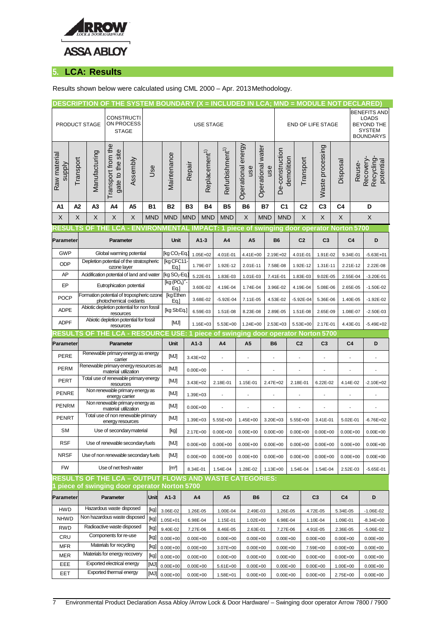

# **5. LCA: Results**

#### Results shown below were calculated using CML 2000 – Apr. 2013Methodology.

|                  |                                                                                    |                                   |                                                               |                       |             |                                                                  |                           |                             | DESCRIPTION OF THE SYSTEM BOUNDARY (X = INCLUDED IN LCA; MND = MODULE NOT DECLARED) |                          |                          |                |                                               |                      |               |                                     |                          |
|------------------|------------------------------------------------------------------------------------|-----------------------------------|---------------------------------------------------------------|-----------------------|-------------|------------------------------------------------------------------|---------------------------|-----------------------------|-------------------------------------------------------------------------------------|--------------------------|--------------------------|----------------|-----------------------------------------------|----------------------|---------------|-------------------------------------|--------------------------|
|                  |                                                                                    |                                   |                                                               |                       |             |                                                                  |                           |                             | <b>BENEFITS AND</b>                                                                 |                          |                          |                |                                               |                      |               |                                     |                          |
| PRODUCT STAGE    |                                                                                    |                                   | <b>CONSTRUCTI</b><br>ON PROCESS                               |                       |             |                                                                  |                           | <b>USE STAGE</b>            |                                                                                     |                          | <b>END OF LIFE STAGE</b> |                | <b>LOADS</b><br>BEYOND THE                    |                      |               |                                     |                          |
|                  |                                                                                    |                                   | <b>STAGE</b>                                                  |                       |             |                                                                  |                           |                             |                                                                                     |                          |                          |                |                                               |                      |               |                                     | <b>SYSTEM</b>            |
|                  |                                                                                    |                                   |                                                               |                       |             |                                                                  |                           |                             |                                                                                     |                          |                          |                |                                               |                      |               |                                     | <b>BOUNDARYS</b>         |
|                  |                                                                                    | Transport from the                |                                                               |                       |             |                                                                  |                           |                             | Operational energy                                                                  |                          |                          |                | Waste processing                              |                      |               |                                     |                          |
| Raw materia      |                                                                                    | gate to the site<br>Manufacturing |                                                               |                       | Maintenance |                                                                  | Replacement <sup>1)</sup> | Refurbishment <sup>1)</sup> |                                                                                     | Operational water        | De-construction          |                |                                               |                      |               |                                     |                          |
|                  |                                                                                    | Assembly                          |                                                               | <b>Jse</b>            |             |                                                                  |                           |                             | use                                                                                 | use                      |                          |                |                                               |                      |               |                                     |                          |
| supply           | Transport                                                                          |                                   |                                                               |                       |             | Repair                                                           |                           |                             |                                                                                     |                          | demolition               | Transport      |                                               | Disposal             | Reuse-        | Recovery-<br>Recycling<br>potential |                          |
|                  |                                                                                    |                                   |                                                               |                       |             |                                                                  |                           |                             |                                                                                     |                          |                          |                |                                               |                      |               |                                     |                          |
|                  |                                                                                    |                                   |                                                               |                       |             |                                                                  |                           |                             |                                                                                     |                          |                          |                |                                               |                      |               |                                     |                          |
| A1               | A2                                                                                 | A3                                | A4                                                            | A5                    | <b>B1</b>   | B2                                                               | B3                        | <b>B4</b>                   | Β5                                                                                  | B <sub>6</sub>           | <b>B7</b>                | C <sub>1</sub> | C2                                            | C <sub>3</sub><br>C4 |               |                                     | D                        |
| X                | X                                                                                  | X                                 | X                                                             | X                     | <b>MND</b>  | <b>MND</b>                                                       | <b>MND</b>                | <b>MND</b>                  | <b>MND</b>                                                                          | X                        | <b>MND</b>               | <b>MND</b>     | X                                             | $\mathsf X$          | $\times$      |                                     | X                        |
| <b>RESUL</b>     | .TS                                                                                | $\Omega$                          |                                                               |                       |             | <b>LCA - ENVIRONMENTAL IMPACT:</b>                               |                           |                             |                                                                                     |                          |                          |                | 1 piece of swinging door operator Norton 5700 |                      |               |                                     |                          |
| <b>Parameter</b> |                                                                                    |                                   | Parameter                                                     |                       |             | Unit                                                             |                           | $A1-3$                      | A4                                                                                  | A <sub>5</sub>           |                          | <b>B6</b>      | C <sub>2</sub>                                | C <sub>3</sub>       |               | C <sub>4</sub>                      | D                        |
| <b>GWP</b>       |                                                                                    |                                   | Global warming potential                                      |                       |             | [kg CO <sub>2</sub> -Eq.                                         |                           | 1.05E+02                    | 4.01E-01                                                                            | 4.41E+00                 |                          | 2.19E+02       | 4.01E-01                                      | 1.91E-02             |               | 9.34E-01                            | $-5.63E + 01$            |
| <b>ODP</b>       |                                                                                    |                                   | Depletion potential of the stratospheric                      |                       |             | [kg CFC11                                                        |                           |                             |                                                                                     |                          |                          |                |                                               |                      |               |                                     |                          |
|                  |                                                                                    |                                   | ozone layer<br>Acidification potential of land and water      |                       | Eq.]        |                                                                  | 1.79E-07                  | 1.92E-12                    | 2.01E-11                                                                            |                          | 7.58E-08                 | 1.92E-12       | 1.31E-11                                      |                      | 2.21E-12      | 2.22E-08                            |                          |
| AP               |                                                                                    |                                   |                                                               |                       |             | [kg SO <sub>2</sub> -Eq.]<br>[kg (PO <sub>4</sub> ) <sup>3</sup> |                           | 5.22E-01                    | 1.83E-03                                                                            | 1.01E-03                 |                          | 7.41E-01       | 1.83E-03                                      | 9.02E-05             |               | 2.55E-04                            | $-3.20E - 01$            |
| EP               |                                                                                    |                                   | Eutrophication potential                                      |                       |             | Eq.]                                                             |                           | 3.60E-02                    | 4.19E-04                                                                            | 1.74E-04                 |                          | 3.96E-02       | 4.19E-04                                      | 5.08E-06             |               | 2.65E-05                            | $-1.50E-02$              |
|                  | Formation potential of tropospheric ozone<br><b>POCP</b><br>photochemical oxidants |                                   |                                                               | [kg Ethen<br>Eq.      |             | 3.68E-02                                                         | $-5.92E - 04$             | 7.11E-05                    |                                                                                     | 4.53E-02                 | $-5.92E-04$              | 5.36E-06       |                                               | 1.40E-05             | $-1.92E - 02$ |                                     |                          |
|                  | <b>ADPE</b>                                                                        |                                   | Abiotic depletion potential for non fossil<br>resources       |                       | [kg SbEq.]  |                                                                  | 6.59E-03                  | 1.51E-08                    | 8.23E-08                                                                            |                          | 2.89E-05                 | 1.51E-08       | 2.65E-09                                      |                      | 1.08E-07      | $-2.50E-03$                         |                          |
|                  | <b>ADPF</b>                                                                        |                                   | Abiotic depletion potential for fossil<br>resources           |                       | [MJ]        |                                                                  | 1.16E+03                  | 5.53E+00                    | 1.24E+00                                                                            |                          | 2.53E+03                 | 5.53E+00       | 2.17E-01                                      |                      | 4.43E-01      | $-5.49E + 02$                       |                          |
| ESUI             | 'S                                                                                 | <b>OF</b><br><b>THE</b>           |                                                               | <b>CA - RESOURC</b> I |             | <b>USE</b>                                                       |                           |                             | piece of swinging door operator Norton 5700                                         |                          |                          |                |                                               |                      |               |                                     |                          |
| Parameter        |                                                                                    |                                   | Parameter                                                     |                       |             |                                                                  |                           |                             |                                                                                     |                          |                          | <b>B6</b>      | C <sub>2</sub>                                |                      |               |                                     |                          |
|                  |                                                                                    |                                   |                                                               |                       |             | Unit                                                             | $A1-3$                    |                             | A4                                                                                  | A <sub>5</sub>           |                          |                |                                               | C <sub>3</sub>       |               | C <sub>4</sub>                      | D                        |
| PERE             |                                                                                    |                                   | Renewable primary energy as energy<br>carrier                 |                       |             | [MJ]                                                             | 3.43E+02                  |                             |                                                                                     |                          |                          |                |                                               |                      |               |                                     |                          |
| <b>PERM</b>      |                                                                                    |                                   | Renewable primary energy resources as<br>material utilization |                       |             | [MJ]                                                             | $0.00E + 00$              |                             |                                                                                     | $\blacksquare$           |                          | $\blacksquare$ |                                               |                      |               | $\blacksquare$                      | $\overline{\phantom{a}}$ |
| <b>PERT</b>      |                                                                                    |                                   | Total use of renewable primary energy<br>resources            |                       |             | [MJ]                                                             | 3.43E+02                  |                             | 2.18E-01                                                                            | 1.15E-01                 |                          | 2.47E+02       | 2.18E-01                                      | 6.22E-02             |               | 4.14E-02                            | $-2.10E + 02$            |
| <b>PENRE</b>     |                                                                                    |                                   | Non renewable primary energy as                               |                       |             | [MJ]                                                             | 1.39E+03                  |                             | ÷,                                                                                  | $\overline{\phantom{a}}$ |                          | ÷,             |                                               |                      |               | $\blacksquare$                      | $\overline{\phantom{a}}$ |
| <b>PENRM</b>     |                                                                                    |                                   | energy carrier<br>Non renewable primary energy as             |                       |             | [MJ]                                                             | $0.00E + 00$              |                             |                                                                                     |                          |                          |                |                                               |                      |               |                                     |                          |
| <b>PENRT</b>     |                                                                                    |                                   | material utilization<br>Total use of non renewable primary    |                       |             | [MJ]                                                             | 1.39E+03                  |                             | 5.55E+00                                                                            | 1.45E+00                 |                          | 3.20E+03       | 5.55E+00                                      | 3.41E-01             |               | 5.02E-01                            | $-6.76E + 02$            |
| SM               |                                                                                    |                                   | energy resources<br>Use of secondary material                 |                       |             | [kg]                                                             | 2.17E+00                  |                             | $0.00E + 00$                                                                        | $0.00E + 00$             |                          | $0.00E + 00$   | $0.00E+00$ $0.00E+00$                         |                      |               | $0.00E + 00$                        | $0.00E + 00$             |
| <b>RSF</b>       |                                                                                    |                                   | Use of renewable secondary fuels                              |                       |             | [MJ]                                                             | $0.00E + 00$              |                             | $0.00E + 00$                                                                        | $0.00E + 00$             |                          | $0.00E + 00$   | $0.00E + 00$                                  | $0.00E + 00$         |               | $0.00E + 00$                        | $0.00E + 00$             |
| <b>NRSF</b>      |                                                                                    |                                   | Use of non renewable secondary fuels                          |                       |             | [MJ]                                                             | $0.00E + 00$              |                             | $0.00E + 00$                                                                        | $0.00E + 00$             |                          | $0.00E + 00$   | $0.00E + 00$                                  | $0.00E + 00$         |               | $0.00E + 00$                        | $0.00E + 00$             |
| <b>FW</b>        |                                                                                    |                                   | Use of net fresh water                                        |                       |             | $\left[\mathrm{m}^3\right]$                                      | 8.34E-01                  |                             | 1.54E-04                                                                            | 1.28E-02                 |                          | 1.13E+00       | 1.54E-04                                      | 1.54E-04             |               | 2.52E-03                            | -5.65E-01                |
|                  |                                                                                    |                                   |                                                               |                       |             |                                                                  |                           |                             | <b>RESULTS OF THE LCA - OUTPUT FLOWS AND WASTE CATEGORIES:</b>                      |                          |                          |                |                                               |                      |               |                                     |                          |
|                  |                                                                                    |                                   |                                                               |                       |             | piece of swinging door operator Norton 5700                      |                           |                             |                                                                                     |                          |                          |                |                                               |                      |               |                                     |                          |
| Parameter        |                                                                                    |                                   | Parameter                                                     |                       | Unit        | $A1-3$                                                           | A4                        |                             | A5                                                                                  | B6                       |                          | C <sub>2</sub> |                                               | C <sub>3</sub>       | C4            |                                     | D                        |
| HWD              |                                                                                    |                                   | Hazardous waste disposed                                      |                       | [kg]        | 3.06E-02                                                         | 1.26E-05                  |                             | 1.00E-04                                                                            | 2.49E-03                 |                          | 1.26E-05       |                                               | 4.72E-05             | 5.34E-05      |                                     | $-1.06E-02$              |
| <b>NHWD</b>      |                                                                                    |                                   | Non hazardous waste disposed                                  |                       | [kg]        | 1.05E+01                                                         | 6.98E-04                  |                             | 1.15E-01                                                                            | 1.02E+00                 |                          | 6.98E-04       |                                               | 1.10E-04             | 1.09E-01      |                                     | $-8.34E + 00$            |
| RWD              |                                                                                    |                                   | Radioactive waste disposed                                    |                       | [kg]        | 9.40E-02                                                         | 7.27E-06                  |                             | 8.46E-05                                                                            | 2.63E-01                 |                          | 7.27E-06       |                                               | 4.91E-05             | 2.36E-05      |                                     | $-5.06E - 02$            |
| CRU              |                                                                                    |                                   | Components for re-use                                         |                       | [kg]        | $0.00E + 00$                                                     | $0.00E + 00$              |                             | $0.00E + 00$                                                                        | $0.00E + 00$             |                          | $0.00E + 00$   |                                               | $0.00E + 00$         | $0.00E + 00$  |                                     | $0.00E + 00$             |
| <b>MFR</b>       |                                                                                    |                                   | Materials for recycling                                       |                       | [kg]        | $0.00E + 00$                                                     | $0.00E + 00$              |                             | 3.07E+00                                                                            | $0.00E + 00$             |                          | $0.00E + 00$   |                                               | 7.59E+00             | $0.00E + 00$  |                                     | $0.00E + 00$             |
| <b>MER</b>       |                                                                                    |                                   | Materials for energy recovery                                 |                       | [kg]        | $0.00E + 00$                                                     | $0.00E + 00$              |                             | $0.00E + 00$                                                                        | $0.00E + 00$             |                          | $0.00E + 00$   |                                               | $0.00E + 00$         | $0.00E + 00$  |                                     | $0.00E + 00$             |
| EEE              |                                                                                    |                                   | Exported electrical energy<br>Exported thermal energy         |                       | [MJ]        | $0.00E + 00$                                                     | $0.00E + 00$              |                             | 5.61E+00                                                                            | $0.00E + 00$             |                          | $0.00E + 00$   |                                               | $0.00E + 00$         | 1.00E+00      |                                     | $0.00E + 00$             |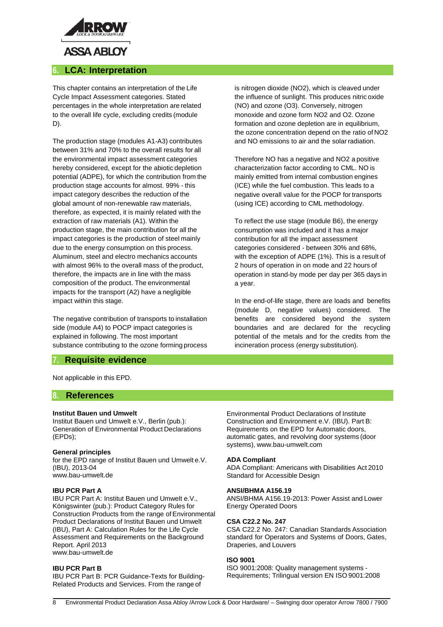

## **6. LCA: Interpretation**

This chapter contains an interpretation of the Life Cycle Impact Assessment categories. Stated percentages in the whole interpretation are related to the overall life cycle, excluding credits (module D).

The production stage (modules A1-A3) contributes between 31% and 70% to the overall results for all the environmental impact assessment categories hereby considered, except for the abiotic depletion potential (ADPE), for which the contribution from the production stage accounts for almost. 99% - this impact category describes the reduction of the global amount of non-renewable raw materials, therefore, as expected, it is mainly related with the extraction of raw materials (A1). Within the production stage, the main contribution for all the impact categories is the production of steel mainly due to the energy consumption on this process. Aluminum, steel and electro mechanics accounts with almost 96% to the overall mass of the product, therefore, the impacts are in line with the mass composition of the product. The environmental impacts for the transport (A2) have a negligible impact within this stage.

The negative contribution of transports to installation side (module A4) to POCP impact categories is explained in following. The most important substance contributing to the ozone forming process

### **7. Requisite evidence**

Not applicable in this EPD.

### **8. References**

#### **Institut Bauen und Umwelt**

Institut Bauen und Umwelt e.V., Berlin (pub.): Generation of Environmental Product Declarations (EPDs);

#### **General principles**

for the EPD range of Institut Bauen und Umwelt e.V. (IBU), 2013-04 [www.bau-umwelt.de](http://www.bau-umwelt.de/)

#### **IBU PCR Part A**

IBU PCR Part A: Institut Bauen und Umwelt e.V., Königswinter (pub.): Product Category Rules for Construction Products from the range ofEnvironmental Product Declarations of Institut Bauen und Umwelt (IBU), Part A: Calculation Rules for the Life Cycle Assessment and Requirements on the Background Report. April 2013 [www.bau-umwelt.de](http://www.bau-umwelt.de/)

#### **IBU PCR Part B**

IBU PCR Part B: PCR Guidance-Texts for Building-Related Products and Services. From the range of

is nitrogen dioxide (NO2), which is cleaved under the influence of sunlight. This produces nitric oxide (NO) and ozone (O3). Conversely, nitrogen monoxide and ozone form NO2 and O2. Ozone formation and ozone depletion are in equilibrium, the ozone concentration depend on the ratio of NO2 and NO emissions to air and the solar radiation.

Therefore NO has a negative and NO2 a positive characterization factor according to CML. NO is mainly emitted from internal combustion engines (ICE) while the fuel combustion. This leads to a negative overall value for the POCP for transports (using ICE) according to CML methodology.

To reflect the use stage (module B6), the energy consumption was included and it has a major contribution for all the impact assessment categories considered - between 30% and 68%, with the exception of ADPE (1%). This is a result of 2 hours of operation in on mode and 22 hours of operation in stand-by mode per day per 365 days in a year.

In the end-of-life stage, there are loads and benefits (module D, negative values) considered. The benefits are considered beyond the system boundaries and are declared for the recycling potential of the metals and for the credits from the incineration process (energy substitution).

Environmental Product Declarations of Institute Construction and Environment e.V. (IBU). Part B: Requirements on the EPD for Automatic doors, automatic gates, and revolving door systems (door systems), [www.bau-umwelt.com](http://www.bau-umwelt.com/)

#### **ADA Compliant**

ADA Compliant: Americans with Disabilities Act 2010 Standard for Accessible Design

#### **ANSI/BHMA A156.19**

ANSI/BHMA A156.19-2013: Power Assist and Lower Energy Operated Doors

#### **CSA C22.2 No. 247**

CSA C22.2 No. 247: Canadian Standards Association standard for Operators and Systems of Doors, Gates, Draperies, and Louvers

#### **ISO 9001**

ISO 9001:2008: Quality management systems - Requirements; Trilingual version EN ISO 9001:2008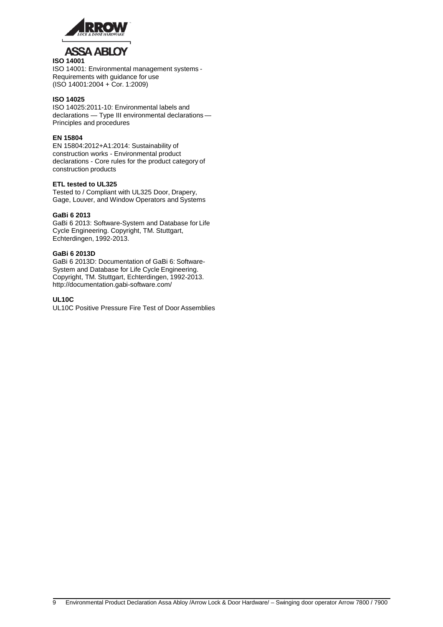

#### **ISO 14001**

ISO 14001: Environmental management systems - Requirements with guidance for use (ISO 14001:2004 + Cor. 1:2009)

#### **ISO 14025**

ISO 14025:2011-10: Environmental labels and declarations — Type III environmental declarations — Principles and procedures

#### **EN 15804**

EN 15804:2012+A1:2014: Sustainability of construction works - Environmental product declarations - Core rules for the product category of construction products

#### **ETL tested to UL325**

Tested to / Compliant with UL325 Door, Drapery, Gage, Louver, and Window Operators and Systems

#### **GaBi 6 2013**

GaBi 6 2013: Software-System and Database for Life Cycle Engineering. Copyright, TM. Stuttgart, Echterdingen, 1992-2013.

#### **GaBi 6 2013D**

GaBi 6 2013D: Documentation of GaBi 6: Software-System and Database for Life Cycle Engineering. Copyright, TM. Stuttgart, Echterdingen, 1992-2013[.](http://documentation.gabi-software.com/) <http://documentation.gabi-software.com/>

#### **UL10C**

UL10C Positive Pressure Fire Test of Door Assemblies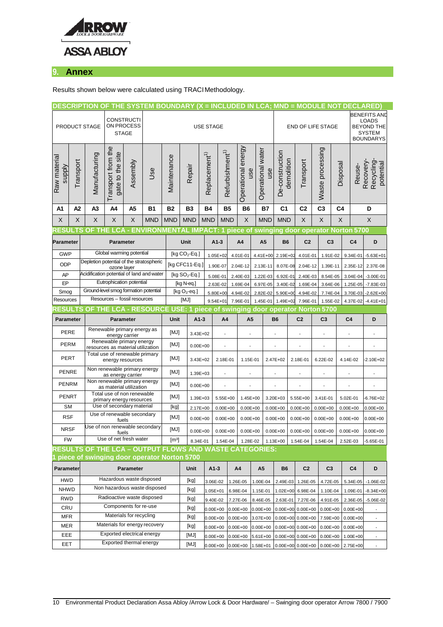

# **9. Annex**

Results shown below were calculated using TRACI Methodology.

|                                                                                  | DESCRIPTION OF THE SYSTEM BOUNDARY (X = INCLUDED IN LCA; MND = MODULE NOT DECLARED) |                                                                                                               |                                                    |                     |                               |              |                          |                           |                             |                          |                           |                   |                              |                                            |                                     |                  |                                                                    |                                             |                                     |
|----------------------------------------------------------------------------------|-------------------------------------------------------------------------------------|---------------------------------------------------------------------------------------------------------------|----------------------------------------------------|---------------------|-------------------------------|--------------|--------------------------|---------------------------|-----------------------------|--------------------------|---------------------------|-------------------|------------------------------|--------------------------------------------|-------------------------------------|------------------|--------------------------------------------------------------------|---------------------------------------------|-------------------------------------|
| PRODUCT STAGE                                                                    |                                                                                     | <b>CONSTRUCTI</b><br>ON PROCESS<br><b>STAGE</b>                                                               |                                                    | <b>USE STAGE</b>    |                               |              |                          |                           |                             |                          |                           | END OF LIFE STAGE |                              |                                            |                                     |                  | <b>BENEFITS AND</b><br><b>LOADS</b><br><b>BEYOND THE</b><br>SYSTEM |                                             |                                     |
|                                                                                  |                                                                                     |                                                                                                               |                                                    |                     |                               |              |                          |                           |                             |                          |                           |                   |                              |                                            |                                     |                  |                                                                    | <b>BOUNDARYS</b>                            |                                     |
| Raw material<br>supply                                                           | Transport                                                                           | Manufacturing                                                                                                 | Transport from the<br>gate to the site             | Assembly            | <b>Jse</b>                    | Maintenance  | Repair                   | Replacement <sup>1)</sup> | Refurbishment <sup>1)</sup> |                          | Operational energy<br>use | Operational water | use                          | De-construction<br>demolition              | Transport                           | Waste processing | Disposal                                                           | Reuse-                                      | Recovery-<br>Recycling<br>potential |
| A1                                                                               | A2                                                                                  | A3                                                                                                            | A4                                                 | A5                  | <b>B1</b>                     | <b>B2</b>    | B <sub>3</sub>           | Β4                        |                             | <b>B5</b>                | B <sub>6</sub>            | <b>B7</b>         |                              | C1                                         | C2                                  | C <sub>3</sub>   | C <sub>4</sub>                                                     |                                             | D                                   |
| X                                                                                | X                                                                                   | X                                                                                                             | X                                                  | X                   | <b>MND</b>                    | <b>MND</b>   | <b>MND</b>               | <b>MND</b>                |                             | <b>MND</b>               | X                         | <b>MND</b>        |                              | <b>MND</b>                                 | X                                   | $\times$         | X                                                                  |                                             | $\times$                            |
| <b>RESULTS</b>                                                                   |                                                                                     | <b>THE</b><br><b>OF</b>                                                                                       | 1 C.A                                              |                     | <b>ENVIRONMENTAL</b>          |              |                          | . IMPACT                  |                             |                          |                           |                   |                              |                                            |                                     |                  |                                                                    | piece of swinging door operator Norton 5700 |                                     |
| Parameter                                                                        |                                                                                     |                                                                                                               | <b>Parameter</b>                                   |                     |                               |              | Unit                     |                           | $A1-3$                      |                          | A4                        | A <sub>5</sub>    |                              | <b>B6</b>                                  | C <sub>2</sub>                      | C <sub>3</sub>   |                                                                    | C <sub>4</sub>                              | D                                   |
| <b>GWP</b>                                                                       |                                                                                     |                                                                                                               | Global warming potential                           |                     |                               |              | [kg $CO2$ -Eq.]          |                           | 1.05E+02                    |                          | 4.01E-01                  |                   | 4.41E+00 2.19E+02            |                                            | 4.01E-01                            |                  | 1.91E-02<br>9.34E-01                                               |                                             | $-5.63E + 01$                       |
| <b>ODP</b>                                                                       |                                                                                     | Depletion potential of the stratospheric                                                                      | ozone layer                                        |                     |                               |              | [kg CFC11-Eq.]           |                           |                             | 1.90E-07<br>2.04E-12     |                           | 2.13E-11          | 8.07E-08                     |                                            | 2.04E-12                            |                  | 1.39E-11<br>2.35E-12                                               |                                             | 2.37E-08                            |
| AP                                                                               |                                                                                     | Acidification potential of land and water                                                                     |                                                    |                     |                               |              | [kg $SO_2$ -Eq.]         |                           | 5.08E-01                    |                          | 2.40E-03                  | 1.22E-03          |                              | 6.92E-01                                   | 2.40E-03                            | 8.54E-05         |                                                                    | 3.04E-04                                    | $-3.00E - 01$                       |
| EP                                                                               |                                                                                     |                                                                                                               | Eutrophication potential                           |                     |                               |              | [kg N-eq.]               |                           |                             | 2.63E-02<br>1.69E-04     |                           | 6.97E-05          |                              | 3.40E-02                                   | 1.69E-04                            | 3.64E-06         |                                                                    | 1.25E-05                                    | $-7.83E-03$                         |
| Smog                                                                             |                                                                                     | Ground-level smog formation potential                                                                         |                                                    |                     |                               |              | [kg $O_3$ -eq.]          |                           |                             | 5.80E+00<br>4.94E-02     |                           | 2.82E-02          | 5.90E+00                     |                                            | 4.94E-02                            |                  | 7.74E-04<br>3.70E-03                                               |                                             | $-2.62E + 00$                       |
|                                                                                  | Resources - fossil resources<br>Resources                                           |                                                                                                               |                                                    |                     | [MJ]                          |              | $9.54E + 01$<br>7.96E-01 |                           |                             | 1.45E-01                 | 1.49E+02                  |                   | 7.96E-01                     |                                            | 1.55E-02<br>4.37E-02                |                  | $-4.41E + 01$                                                      |                                             |                                     |
| RESULTS OF THE LCA - RESOURCE USE: 1 piece of swinging door operator Norton 5700 |                                                                                     |                                                                                                               |                                                    |                     |                               |              |                          |                           |                             |                          |                           |                   |                              |                                            |                                     |                  |                                                                    |                                             |                                     |
| Parameter                                                                        |                                                                                     |                                                                                                               | <b>Parameter</b>                                   |                     | Unit                          |              | $A1-3$                   | A4                        |                             | A <sub>5</sub>           |                           | B <sub>6</sub>    |                              | C <sub>2</sub>                             | C <sub>3</sub>                      |                  | C <sub>4</sub>                                                     | D                                           |                                     |
| <b>PERE</b>                                                                      |                                                                                     |                                                                                                               | Renewable primary energy as<br>energy carrier      |                     |                               | [MJ]         |                          | 3.43E+02                  | ÷,                          |                          | ł,                        |                   | ÷,                           |                                            | $\overline{\phantom{a}}$            | ÷,               | $\blacksquare$                                                     |                                             | ÷,                                  |
|                                                                                  | Renewable primary energy<br><b>PERM</b><br>resources as material utilization        |                                                                                                               |                                                    | [MJ]                |                               | $0.00E + 00$ |                          |                           | ł,                          |                          |                           |                   |                              |                                            |                                     |                  |                                                                    |                                             |                                     |
| PERT                                                                             |                                                                                     |                                                                                                               | Total use of renewable primary<br>energy resources |                     |                               | [MJ]         |                          | 3.43E+02                  | 2.18E-01                    |                          | 1.15E-01                  |                   |                              | 2.47E+02<br>2.18E-01                       |                                     | 6.22E-02         |                                                                    | 4.14E-02                                    | $-2.10E + 02$                       |
| <b>PENRE</b>                                                                     |                                                                                     |                                                                                                               | Non renewable primary energy<br>as energy carrier  |                     |                               | [MJ]         | 1.39E+03                 |                           | $\blacksquare$              |                          | ÷                         |                   |                              | $\overline{\phantom{a}}$<br>$\blacksquare$ |                                     | ÷                |                                                                    | $\blacksquare$                              | $\overline{\phantom{a}}$            |
| PENRM                                                                            |                                                                                     |                                                                                                               | Non renewable primary energy                       |                     |                               | [MJ]         | $0.00E + 00$             |                           |                             |                          |                           |                   |                              |                                            |                                     |                  |                                                                    |                                             |                                     |
| <b>PENRT</b>                                                                     |                                                                                     | as material utilization<br>Total use of non renewable<br>primary energy resources                             |                                                    |                     | [MJ]                          |              | 1.39E+03                 | 5.55E+00                  |                             | 1.45E+00                 |                           |                   | 3.20E+03<br>$5.55E+00$       |                                            | 3.41E-01                            |                  | 5.02E-01                                                           | $-6.76E + 02$                               |                                     |
| <b>SM</b>                                                                        |                                                                                     | Use of secondary material                                                                                     |                                                    |                     | [kg]                          | 2.17E+00     |                          | $0.00E + 00$              |                             |                          | $0.00E + 00$              |                   | $0.00E + 00$<br>$0.00E + 00$ |                                            | $0.00E + 00$                        |                  | $0.00E + 00$                                                       | $0.00E + 00$                                |                                     |
| <b>RSF</b>                                                                       |                                                                                     | Use of renewable secondary<br>fuels                                                                           |                                                    |                     | [MJ]                          | $0.00E + 00$ |                          | $0.00E + 00$              |                             | $0.00E + 00$             |                           |                   | $0.00E + 00$<br>$0.00E + 00$ |                                            | $0.00E + 00$                        |                  | $0.00E + 00$                                                       | $0.00E + 00$                                |                                     |
|                                                                                  | Use of non renewable secondary<br><b>NRSF</b><br>fuels                              |                                                                                                               |                                                    | [MJ]                | $0.00E + 00$                  |              | $0.00E + 00$             |                           | $0.00E + 00$                | $0.00E + 00$             |                           |                   |                              | $0.00E+00$ 0.00E+00                        |                                     | $0.00E + 00$     | $0.00E + 00$                                                       |                                             |                                     |
| <b>FW</b>                                                                        |                                                                                     | Use of net fresh water                                                                                        |                                                    | $\lceil m^3 \rceil$ |                               | 8.34E-01     | 1.54E-04                 |                           | 1.28E-02                    | 1.13E+00                 |                           |                   | 1.54E-04                     | 1.54E-04                                   |                                     | 2.52E-03         | $-5.65E - 01$                                                      |                                             |                                     |
|                                                                                  |                                                                                     | <b>RESULTS OF THE LCA – OUTPUT FLOWS AND WASTE CATEGORIES:</b><br>piece of swinging door operator Norton 5700 |                                                    |                     |                               |              |                          |                           |                             |                          |                           |                   |                              |                                            |                                     |                  |                                                                    |                                             |                                     |
| Parameter                                                                        |                                                                                     |                                                                                                               |                                                    | Parameter           |                               |              | Unit                     |                           | $A1-3$                      |                          | A4                        | A5                |                              | <b>B6</b>                                  | C <sub>2</sub>                      | C <sub>3</sub>   |                                                                    | C <sub>4</sub>                              | D                                   |
| <b>HWD</b>                                                                       |                                                                                     |                                                                                                               | Hazardous waste disposed                           |                     |                               |              | [kg]                     |                           | 3.06E-02                    |                          | 1.26E-05                  | 1.00E-04          |                              | 2.49E-03 1.26E-05                          |                                     | 4.72E-05         |                                                                    | 5.34E-05                                    | $-1.06E - 02$                       |
| <b>NHWD</b>                                                                      | Non hazardous waste disposed                                                        |                                                                                                               |                                                    |                     | [kg]                          |              | 1.05E+01                 |                           | 6.98E-04                    | 1.15E-01                 |                           |                   | 1.02E+00 6.98E-04            |                                            | 1.10E-04                            | 1.09E-01         | $-8.34E + 00$                                                      |                                             |                                     |
| <b>RWD</b>                                                                       | Radioactive waste disposed                                                          |                                                                                                               |                                                    |                     | [kg]                          |              | 9.40E-02                 |                           | 7.27E-06                    | 8.46E-05                 |                           |                   | 2.63E-01 7.27E-06            | 4.91E-05                                   |                                     | 2.36E-05         | $-5.06E - 02$                                                      |                                             |                                     |
| CRU                                                                              |                                                                                     |                                                                                                               | Components for re-use                              |                     |                               |              | [kg]                     | $0.00E + 00$              |                             |                          | $0.00E + 00$              | $0.00E + 00$      |                              | 0.00E+00 0.00E+00 0.00E+00 0.00E+00        |                                     |                  |                                                                    |                                             |                                     |
| <b>MFR</b>                                                                       |                                                                                     |                                                                                                               | Materials for recycling                            |                     |                               |              | [kg]                     |                           | $0.00E + 00$                |                          | $0.00E + 00$              | 3.07E+00          |                              |                                            |                                     |                  |                                                                    | 0.00E+00 0.00E+00 7.59E+00 0.00E+00         |                                     |
| <b>MER</b>                                                                       |                                                                                     |                                                                                                               |                                                    |                     | Materials for energy recovery |              | [kg]                     |                           | $0.00E + 00$                |                          | $0.00E + 00$              | $0.00E + 00$      |                              | 0.00E+00 0.00E+00 0.00E+00 0.00E+00        |                                     |                  |                                                                    |                                             | $\overline{\phantom{a}}$            |
| EEE                                                                              |                                                                                     |                                                                                                               | Exported electrical energy                         |                     |                               |              | [MJ]                     |                           | $0.00E + 00$                |                          |                           | 0.00E+00 5.61E+00 |                              |                                            |                                     |                  |                                                                    | 0.00E+00 0.00E+00 0.00E+00 1.00E+00         | $\overline{\phantom{a}}$            |
| EET                                                                              | Exported thermal energy                                                             |                                                                                                               |                                                    |                     |                               |              | [MJ]                     |                           |                             | 0.00E+00<br>$0.00E + 00$ |                           | 1.58E+01          |                              |                                            | 0.00E+00 0.00E+00 0.00E+00 2.75E+00 |                  |                                                                    |                                             |                                     |